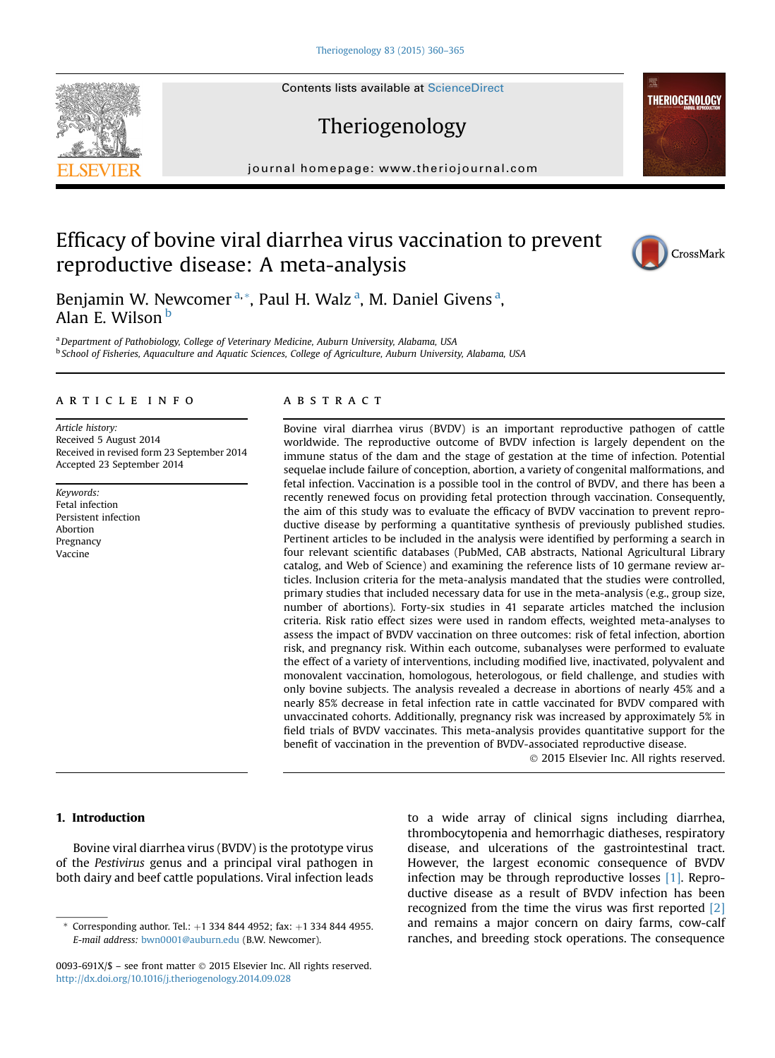# Theriogenology

journal homepage: [www.theriojournal.com](http://www.theriojournal.com)

## Efficacy of bovine viral diarrhea virus vaccination to prevent reproductive disease: A meta-analysis



a Department of Pathobiology, College of Veterinary Medicine, Auburn University, Alabama, USA <sup>b</sup> School of Fisheries, Aquaculture and Aquatic Sciences, College of Agriculture, Auburn University, Alabama, USA

## article info

Article history: Received 5 August 2014 Received in revised form 23 September 2014 Accepted 23 September 2014

Keywords: Fetal infection Persistent infection Abortion Pregnancy Vaccine

## **ARSTRACT**

Bovine viral diarrhea virus (BVDV) is an important reproductive pathogen of cattle worldwide. The reproductive outcome of BVDV infection is largely dependent on the immune status of the dam and the stage of gestation at the time of infection. Potential sequelae include failure of conception, abortion, a variety of congenital malformations, and fetal infection. Vaccination is a possible tool in the control of BVDV, and there has been a recently renewed focus on providing fetal protection through vaccination. Consequently, the aim of this study was to evaluate the efficacy of BVDV vaccination to prevent reproductive disease by performing a quantitative synthesis of previously published studies. Pertinent articles to be included in the analysis were identified by performing a search in four relevant scientific databases (PubMed, CAB abstracts, National Agricultural Library catalog, and Web of Science) and examining the reference lists of 10 germane review articles. Inclusion criteria for the meta-analysis mandated that the studies were controlled, primary studies that included necessary data for use in the meta-analysis (e.g., group size, number of abortions). Forty-six studies in 41 separate articles matched the inclusion criteria. Risk ratio effect sizes were used in random effects, weighted meta-analyses to assess the impact of BVDV vaccination on three outcomes: risk of fetal infection, abortion risk, and pregnancy risk. Within each outcome, subanalyses were performed to evaluate the effect of a variety of interventions, including modified live, inactivated, polyvalent and monovalent vaccination, homologous, heterologous, or field challenge, and studies with only bovine subjects. The analysis revealed a decrease in abortions of nearly 45% and a nearly 85% decrease in fetal infection rate in cattle vaccinated for BVDV compared with unvaccinated cohorts. Additionally, pregnancy risk was increased by approximately 5% in field trials of BVDV vaccinates. This meta-analysis provides quantitative support for the benefit of vaccination in the prevention of BVDV-associated reproductive disease.

2015 Elsevier Inc. All rights reserved.

## 1. Introduction

Bovine viral diarrhea virus (BVDV) is the prototype virus of the Pestivirus genus and a principal viral pathogen in both dairy and beef cattle populations. Viral infection leads to a wide array of clinical signs including diarrhea, thrombocytopenia and hemorrhagic diatheses, respiratory disease, and ulcerations of the gastrointestinal tract. However, the largest economic consequence of BVDV infection may be through reproductive losses [\[1\].](#page-5-0) Reproductive disease as a result of BVDV infection has been recognized from the time the virus was first reported  $\lfloor 2 \rfloor$ and remains a major concern on dairy farms, cow-calf ranches, and breeding stock operations. The consequence





**THERIOGENOLOGY** 

<sup>\*</sup> Corresponding author. Tel.:  $+1$  334 844 4952; fax:  $+1$  334 844 4955. E-mail address: [bwn0001@auburn.edu](mailto:bwn0001@auburn.edu) (B.W. Newcomer).

<sup>0093-691</sup>X/\$ - see front matter © 2015 Elsevier Inc. All rights reserved. <http://dx.doi.org/10.1016/j.theriogenology.2014.09.028>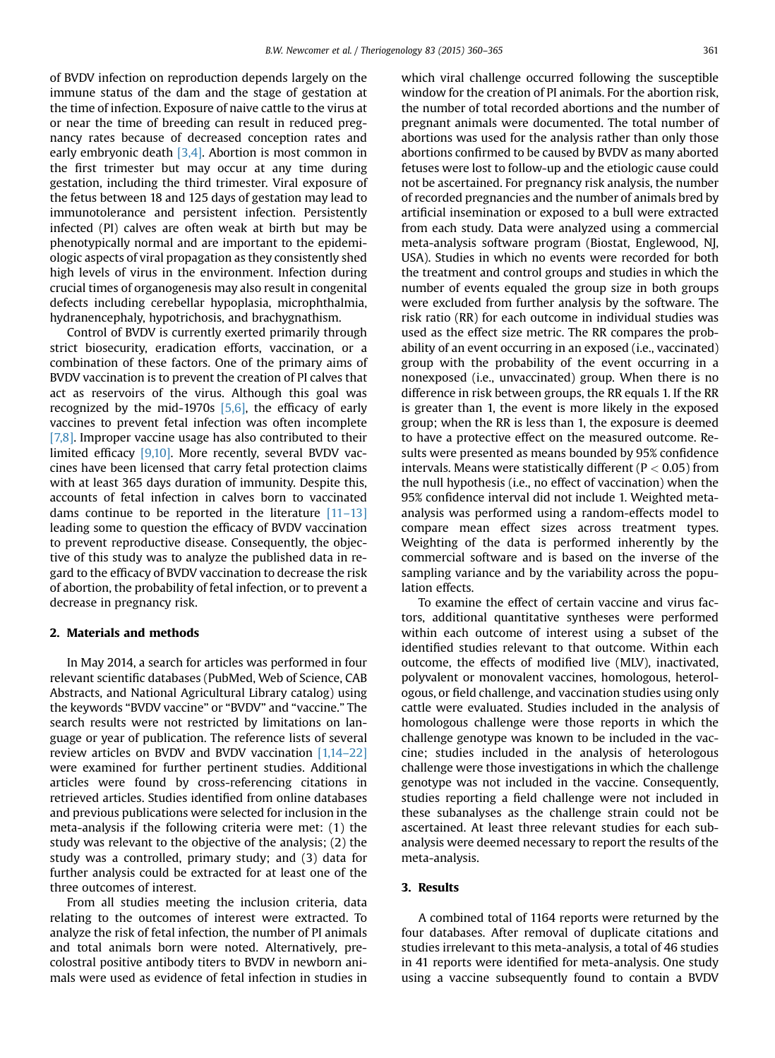of BVDV infection on reproduction depends largely on the immune status of the dam and the stage of gestation at the time of infection. Exposure of naive cattle to the virus at or near the time of breeding can result in reduced pregnancy rates because of decreased conception rates and early embryonic death  $[3,4]$ . Abortion is most common in the first trimester but may occur at any time during gestation, including the third trimester. Viral exposure of the fetus between 18 and 125 days of gestation may lead to immunotolerance and persistent infection. Persistently infected (PI) calves are often weak at birth but may be phenotypically normal and are important to the epidemiologic aspects of viral propagation as they consistently shed high levels of virus in the environment. Infection during crucial times of organogenesis may also result in congenital defects including cerebellar hypoplasia, microphthalmia, hydranencephaly, hypotrichosis, and brachygnathism.

Control of BVDV is currently exerted primarily through strict biosecurity, eradication efforts, vaccination, or a combination of these factors. One of the primary aims of BVDV vaccination is to prevent the creation of PI calves that act as reservoirs of the virus. Although this goal was recognized by the mid-1970s  $[5,6]$ , the efficacy of early vaccines to prevent fetal infection was often incomplete [\[7,8\]](#page-5-0). Improper vaccine usage has also contributed to their limited efficacy [\[9,10\].](#page-5-0) More recently, several BVDV vaccines have been licensed that carry fetal protection claims with at least 365 days duration of immunity. Despite this, accounts of fetal infection in calves born to vaccinated dams continue to be reported in the literature  $[11-13]$  $[11-13]$ leading some to question the efficacy of BVDV vaccination to prevent reproductive disease. Consequently, the objective of this study was to analyze the published data in regard to the efficacy of BVDV vaccination to decrease the risk of abortion, the probability of fetal infection, or to prevent a decrease in pregnancy risk.

## 2. Materials and methods

In May 2014, a search for articles was performed in four relevant scientific databases (PubMed, Web of Science, CAB Abstracts, and National Agricultural Library catalog) using the keywords "BVDV vaccine" or "BVDV" and "vaccine." The search results were not restricted by limitations on language or year of publication. The reference lists of several review articles on BVDV and BVDV vaccination [\[1,14](#page-5-0)–22] were examined for further pertinent studies. Additional articles were found by cross-referencing citations in retrieved articles. Studies identified from online databases and previous publications were selected for inclusion in the meta-analysis if the following criteria were met: (1) the study was relevant to the objective of the analysis; (2) the study was a controlled, primary study; and (3) data for further analysis could be extracted for at least one of the three outcomes of interest.

From all studies meeting the inclusion criteria, data relating to the outcomes of interest were extracted. To analyze the risk of fetal infection, the number of PI animals and total animals born were noted. Alternatively, precolostral positive antibody titers to BVDV in newborn animals were used as evidence of fetal infection in studies in

which viral challenge occurred following the susceptible window for the creation of PI animals. For the abortion risk, the number of total recorded abortions and the number of pregnant animals were documented. The total number of abortions was used for the analysis rather than only those abortions confirmed to be caused by BVDV as many aborted fetuses were lost to follow-up and the etiologic cause could not be ascertained. For pregnancy risk analysis, the number of recorded pregnancies and the number of animals bred by artificial insemination or exposed to a bull were extracted from each study. Data were analyzed using a commercial meta-analysis software program (Biostat, Englewood, NJ, USA). Studies in which no events were recorded for both the treatment and control groups and studies in which the number of events equaled the group size in both groups were excluded from further analysis by the software. The risk ratio (RR) for each outcome in individual studies was used as the effect size metric. The RR compares the probability of an event occurring in an exposed (i.e., vaccinated) group with the probability of the event occurring in a nonexposed (i.e., unvaccinated) group. When there is no difference in risk between groups, the RR equals 1. If the RR is greater than 1, the event is more likely in the exposed group; when the RR is less than 1, the exposure is deemed to have a protective effect on the measured outcome. Results were presented as means bounded by 95% confidence intervals. Means were statistically different ( $P < 0.05$ ) from the null hypothesis (i.e., no effect of vaccination) when the 95% confidence interval did not include 1. Weighted metaanalysis was performed using a random-effects model to compare mean effect sizes across treatment types. Weighting of the data is performed inherently by the commercial software and is based on the inverse of the sampling variance and by the variability across the population effects.

To examine the effect of certain vaccine and virus factors, additional quantitative syntheses were performed within each outcome of interest using a subset of the identified studies relevant to that outcome. Within each outcome, the effects of modified live (MLV), inactivated, polyvalent or monovalent vaccines, homologous, heterologous, or field challenge, and vaccination studies using only cattle were evaluated. Studies included in the analysis of homologous challenge were those reports in which the challenge genotype was known to be included in the vaccine; studies included in the analysis of heterologous challenge were those investigations in which the challenge genotype was not included in the vaccine. Consequently, studies reporting a field challenge were not included in these subanalyses as the challenge strain could not be ascertained. At least three relevant studies for each subanalysis were deemed necessary to report the results of the meta-analysis.

## 3. Results

A combined total of 1164 reports were returned by the four databases. After removal of duplicate citations and studies irrelevant to this meta-analysis, a total of 46 studies in 41 reports were identified for meta-analysis. One study using a vaccine subsequently found to contain a BVDV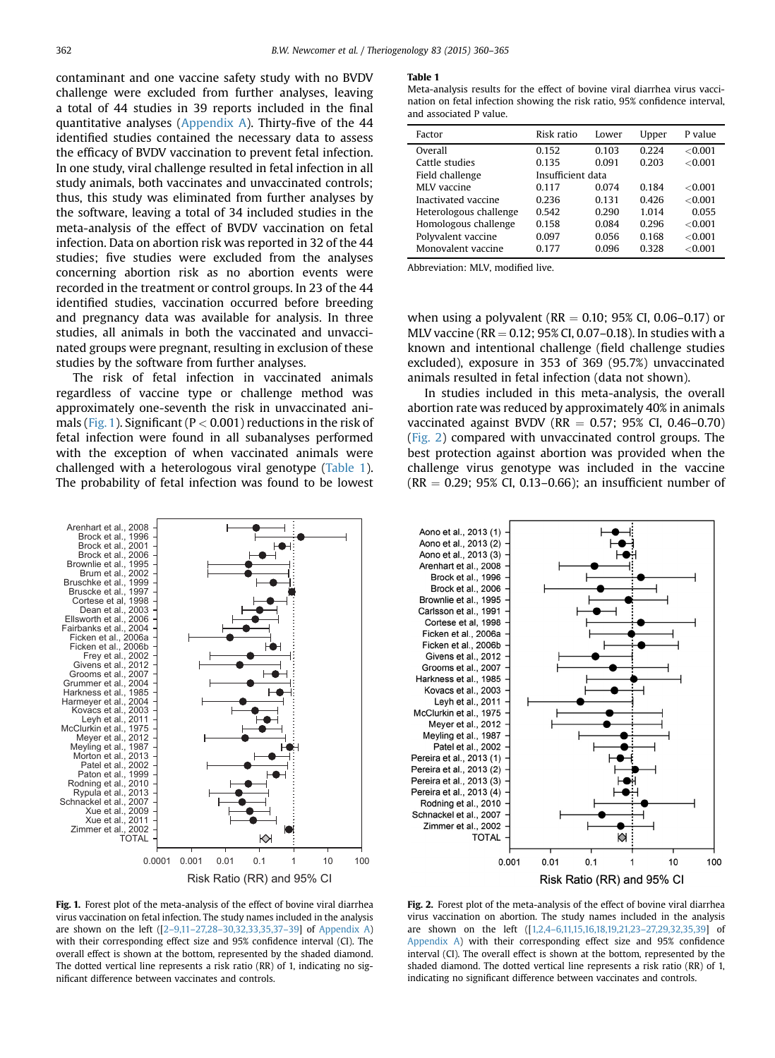contaminant and one vaccine safety study with no BVDV challenge were excluded from further analyses, leaving a total of 44 studies in 39 reports included in the final quantitative analyses (Appendix A). Thirty-five of the 44 identified studies contained the necessary data to assess the efficacy of BVDV vaccination to prevent fetal infection. In one study, viral challenge resulted in fetal infection in all study animals, both vaccinates and unvaccinated controls; thus, this study was eliminated from further analyses by the software, leaving a total of 34 included studies in the meta-analysis of the effect of BVDV vaccination on fetal infection. Data on abortion risk was reported in 32 of the 44 studies; five studies were excluded from the analyses concerning abortion risk as no abortion events were recorded in the treatment or control groups. In 23 of the 44 identified studies, vaccination occurred before breeding and pregnancy data was available for analysis. In three studies, all animals in both the vaccinated and unvaccinated groups were pregnant, resulting in exclusion of these studies by the software from further analyses.

The risk of fetal infection in vaccinated animals regardless of vaccine type or challenge method was approximately one-seventh the risk in unvaccinated animals (Fig. 1). Significant ( $P < 0.001$ ) reductions in the risk of fetal infection were found in all subanalyses performed with the exception of when vaccinated animals were challenged with a heterologous viral genotype (Table 1). The probability of fetal infection was found to be lowest



#### Fig. 1. Forest plot of the meta-analysis of the effect of bovine viral diarrhea virus vaccination on fetal infection. The study names included in the analysis are shown on the left ([2–9,11–27,28–[30,32,33,35,37](#page-6-0)–39] of Appendix A) with their corresponding effect size and 95% confidence interval (CI). The overall effect is shown at the bottom, represented by the shaded diamond. The dotted vertical line represents a risk ratio (RR) of 1, indicating no significant difference between vaccinates and controls.

#### Table 1

Meta-analysis results for the effect of bovine viral diarrhea virus vaccination on fetal infection showing the risk ratio, 95% confidence interval, and associated P value.

| <b>Factor</b>          | Risk ratio        | Lower | Upper | P value   |
|------------------------|-------------------|-------|-------|-----------|
| Overall                | 0.152             | 0.103 | 0.224 | < 0.001   |
| Cattle studies         | 0.135             | 0.091 | 0.203 | < 0.001   |
| Field challenge        | Insufficient data |       |       |           |
| MLV vaccine            | 0.117             | 0.074 | 0.184 | <0.001    |
| Inactivated vaccine    | 0.236             | 0.131 | 0.426 | <0.001    |
| Heterologous challenge | 0.542             | 0.290 | 1.014 | 0.055     |
| Homologous challenge   | 0.158             | 0.084 | 0.296 | <0.001    |
| Polyvalent vaccine     | 0.097             | 0.056 | 0.168 | <0.001    |
| Monovalent vaccine     | 0.177             | 0.096 | 0.328 | $<$ 0.001 |

Abbreviation: MLV, modified live.

when using a polyvalent (RR  $= 0.10$ ; 95% CI, 0.06–0.17) or MLV vaccine (RR =  $0.12$ ; 95% CI, 0.07-0.18). In studies with a known and intentional challenge (field challenge studies excluded), exposure in 353 of 369 (95.7%) unvaccinated animals resulted in fetal infection (data not shown).

In studies included in this meta-analysis, the overall abortion rate was reduced by approximately 40% in animals vaccinated against BVDV (RR  $= 0.57$ ; 95% CI, 0.46–0.70) (Fig. 2) compared with unvaccinated control groups. The best protection against abortion was provided when the challenge virus genotype was included in the vaccine  $(RR = 0.29; 95% CI, 0.13–0.66);$  an insufficient number of



Fig. 2. Forest plot of the meta-analysis of the effect of bovine viral diarrhea virus vaccination on abortion. The study names included in the analysis are shown on the left ([1,2,4–[6,11,15,16,18,19,21,23](#page-6-0)–27,29,32,35,39] of Appendix A) with their corresponding effect size and 95% confidence interval (CI). The overall effect is shown at the bottom, represented by the shaded diamond. The dotted vertical line represents a risk ratio (RR) of 1, indicating no significant difference between vaccinates and controls.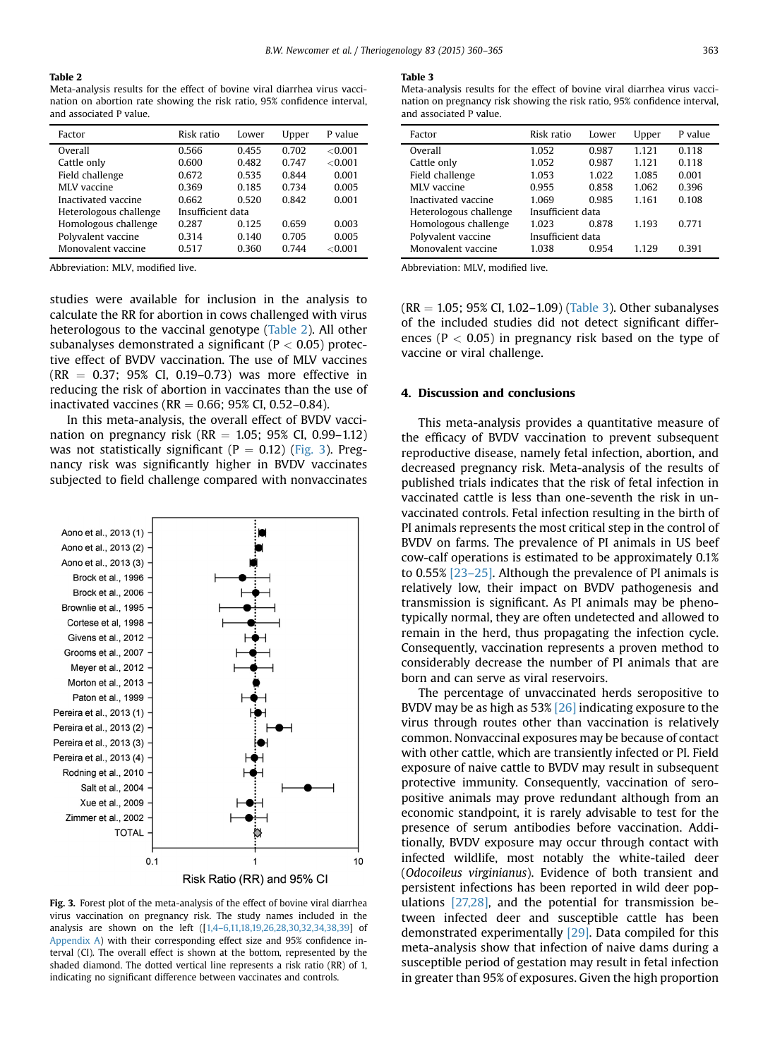#### Table 2

Meta-analysis results for the effect of bovine viral diarrhea virus vaccination on abortion rate showing the risk ratio, 95% confidence interval, and associated P value.

| Factor                 | Risk ratio        | Lower | Upper | P value |
|------------------------|-------------------|-------|-------|---------|
| Overall                | 0.566             | 0.455 | 0.702 | < 0.001 |
| Cattle only            | 0.600             | 0.482 | 0.747 | < 0.001 |
| Field challenge        | 0.672             | 0.535 | 0.844 | 0.001   |
| MLV vaccine            | 0.369             | 0.185 | 0.734 | 0.005   |
| Inactivated vaccine    | 0.662             | 0.520 | 0.842 | 0.001   |
| Heterologous challenge | Insufficient data |       |       |         |
| Homologous challenge   | 0.287             | 0.125 | 0.659 | 0.003   |
| Polyvalent vaccine     | 0.314             | 0.140 | 0.705 | 0.005   |
| Monovalent vaccine     | 0.517             | 0.360 | 0.744 | < 0.001 |

Abbreviation: MLV, modified live.

studies were available for inclusion in the analysis to calculate the RR for abortion in cows challenged with virus heterologous to the vaccinal genotype (Table 2). All other subanalyses demonstrated a significant ( $P < 0.05$ ) protective effect of BVDV vaccination. The use of MLV vaccines  $(RR = 0.37; 95% CI, 0.19-0.73)$  was more effective in reducing the risk of abortion in vaccinates than the use of inactivated vaccines (RR =  $0.66$ ; 95% CI, 0.52–0.84).

In this meta-analysis, the overall effect of BVDV vaccination on pregnancy risk (RR  $= 1.05$ ; 95% CI, 0.99–1.12) was not statistically significant ( $P = 0.12$ ) (Fig. 3). Pregnancy risk was significantly higher in BVDV vaccinates subjected to field challenge compared with nonvaccinates



Fig. 3. Forest plot of the meta-analysis of the effect of bovine viral diarrhea virus vaccination on pregnancy risk. The study names included in the analysis are shown on the left ([1,4–[6,11,18,19,26,28,30,32,34,38,39\]](#page-6-0) of Appendix A) with their corresponding effect size and 95% confidence interval (CI). The overall effect is shown at the bottom, represented by the shaded diamond. The dotted vertical line represents a risk ratio (RR) of 1, indicating no significant difference between vaccinates and controls.

#### Table 3

Meta-analysis results for the effect of bovine viral diarrhea virus vaccination on pregnancy risk showing the risk ratio, 95% confidence interval, and associated P value.

| Factor                 | Risk ratio        | Lower | Upper   | P value |
|------------------------|-------------------|-------|---------|---------|
| Overall                | 1.052             | 0.987 | 1.121   | 0.118   |
| Cattle only            | 1.052             | 0.987 | 1.121   | 0.118   |
| Field challenge        | 1.053             | 1.022 | 1.085   | 0.001   |
| MLV vaccine            | 0.955             | 0.858 | 1.062   | 0.396   |
| Inactivated vaccine    | 1.069             | 0.985 | 1.161   | 0.108   |
| Heterologous challenge | Insufficient data |       |         |         |
| Homologous challenge   | 1.023             | 0.878 | 1.193   | 0.771   |
| Polyvalent vaccine     | Insufficient data |       |         |         |
| Monovalent vaccine     | 1.038             | 0.954 | 1 1 2 9 | 0.391   |

Abbreviation: MLV, modified live.

 $(RR = 1.05; 95\% CI, 1.02–1.09)$  (Table 3). Other subanalyses of the included studies did not detect significant differences ( $P < 0.05$ ) in pregnancy risk based on the type of vaccine or viral challenge.

## 4. Discussion and conclusions

This meta-analysis provides a quantitative measure of the efficacy of BVDV vaccination to prevent subsequent reproductive disease, namely fetal infection, abortion, and decreased pregnancy risk. Meta-analysis of the results of published trials indicates that the risk of fetal infection in vaccinated cattle is less than one-seventh the risk in unvaccinated controls. Fetal infection resulting in the birth of PI animals represents the most critical step in the control of BVDV on farms. The prevalence of PI animals in US beef cow-calf operations is estimated to be approximately 0.1% to 0.55% [23–[25\]](#page-5-0). Although the prevalence of PI animals is relatively low, their impact on BVDV pathogenesis and transmission is significant. As PI animals may be phenotypically normal, they are often undetected and allowed to remain in the herd, thus propagating the infection cycle. Consequently, vaccination represents a proven method to considerably decrease the number of PI animals that are born and can serve as viral reservoirs.

The percentage of unvaccinated herds seropositive to BVDV may be as high as  $53\%$  [\[26\]](#page-5-0) indicating exposure to the virus through routes other than vaccination is relatively common. Nonvaccinal exposures may be because of contact with other cattle, which are transiently infected or PI. Field exposure of naive cattle to BVDV may result in subsequent protective immunity. Consequently, vaccination of seropositive animals may prove redundant although from an economic standpoint, it is rarely advisable to test for the presence of serum antibodies before vaccination. Additionally, BVDV exposure may occur through contact with infected wildlife, most notably the white-tailed deer (Odocoileus virginianus). Evidence of both transient and persistent infections has been reported in wild deer populations [\[27,28\]](#page-5-0), and the potential for transmission between infected deer and susceptible cattle has been demonstrated experimentally [\[29\].](#page-5-0) Data compiled for this meta-analysis show that infection of naive dams during a susceptible period of gestation may result in fetal infection in greater than 95% of exposures. Given the high proportion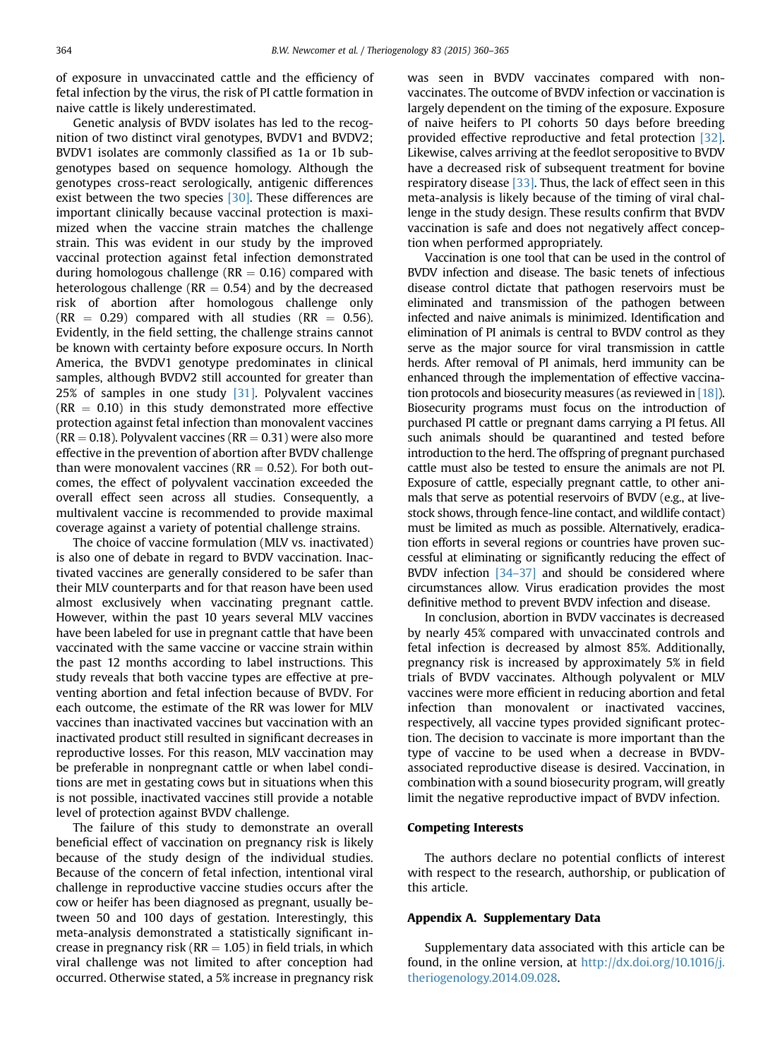of exposure in unvaccinated cattle and the efficiency of fetal infection by the virus, the risk of PI cattle formation in naive cattle is likely underestimated.

Genetic analysis of BVDV isolates has led to the recognition of two distinct viral genotypes, BVDV1 and BVDV2; BVDV1 isolates are commonly classified as 1a or 1b subgenotypes based on sequence homology. Although the genotypes cross-react serologically, antigenic differences exist between the two species [\[30\]](#page-5-0). These differences are important clinically because vaccinal protection is maximized when the vaccine strain matches the challenge strain. This was evident in our study by the improved vaccinal protection against fetal infection demonstrated during homologous challenge ( $RR = 0.16$ ) compared with heterologous challenge ( $RR = 0.54$ ) and by the decreased risk of abortion after homologous challenge only  $(RR = 0.29)$  compared with all studies  $(RR = 0.56)$ . Evidently, in the field setting, the challenge strains cannot be known with certainty before exposure occurs. In North America, the BVDV1 genotype predominates in clinical samples, although BVDV2 still accounted for greater than 25% of samples in one study [\[31\].](#page-5-0) Polyvalent vaccines  $(RR = 0.10)$  in this study demonstrated more effective protection against fetal infection than monovalent vaccines  $(RR = 0.18)$ . Polyvalent vaccines  $(RR = 0.31)$  were also more effective in the prevention of abortion after BVDV challenge than were monovalent vaccines ( $RR = 0.52$ ). For both outcomes, the effect of polyvalent vaccination exceeded the overall effect seen across all studies. Consequently, a multivalent vaccine is recommended to provide maximal coverage against a variety of potential challenge strains.

The choice of vaccine formulation (MLV vs. inactivated) is also one of debate in regard to BVDV vaccination. Inactivated vaccines are generally considered to be safer than their MLV counterparts and for that reason have been used almost exclusively when vaccinating pregnant cattle. However, within the past 10 years several MLV vaccines have been labeled for use in pregnant cattle that have been vaccinated with the same vaccine or vaccine strain within the past 12 months according to label instructions. This study reveals that both vaccine types are effective at preventing abortion and fetal infection because of BVDV. For each outcome, the estimate of the RR was lower for MLV vaccines than inactivated vaccines but vaccination with an inactivated product still resulted in significant decreases in reproductive losses. For this reason, MLV vaccination may be preferable in nonpregnant cattle or when label conditions are met in gestating cows but in situations when this is not possible, inactivated vaccines still provide a notable level of protection against BVDV challenge.

The failure of this study to demonstrate an overall beneficial effect of vaccination on pregnancy risk is likely because of the study design of the individual studies. Because of the concern of fetal infection, intentional viral challenge in reproductive vaccine studies occurs after the cow or heifer has been diagnosed as pregnant, usually between 50 and 100 days of gestation. Interestingly, this meta-analysis demonstrated a statistically significant increase in pregnancy risk ( $RR = 1.05$ ) in field trials, in which viral challenge was not limited to after conception had occurred. Otherwise stated, a 5% increase in pregnancy risk was seen in BVDV vaccinates compared with nonvaccinates. The outcome of BVDV infection or vaccination is largely dependent on the timing of the exposure. Exposure of naive heifers to PI cohorts 50 days before breeding provided effective reproductive and fetal protection [\[32\]](#page-5-0). Likewise, calves arriving at the feedlot seropositive to BVDV have a decreased risk of subsequent treatment for bovine respiratory disease [\[33\]](#page-5-0). Thus, the lack of effect seen in this meta-analysis is likely because of the timing of viral challenge in the study design. These results confirm that BVDV vaccination is safe and does not negatively affect conception when performed appropriately.

Vaccination is one tool that can be used in the control of BVDV infection and disease. The basic tenets of infectious disease control dictate that pathogen reservoirs must be eliminated and transmission of the pathogen between infected and naive animals is minimized. Identification and elimination of PI animals is central to BVDV control as they serve as the major source for viral transmission in cattle herds. After removal of PI animals, herd immunity can be enhanced through the implementation of effective vaccination protocols and biosecurity measures (as reviewed in  $[18]$ ). Biosecurity programs must focus on the introduction of purchased PI cattle or pregnant dams carrying a PI fetus. All such animals should be quarantined and tested before introduction to the herd. The offspring of pregnant purchased cattle must also be tested to ensure the animals are not PI. Exposure of cattle, especially pregnant cattle, to other animals that serve as potential reservoirs of BVDV (e.g., at livestock shows, through fence-line contact, and wildlife contact) must be limited as much as possible. Alternatively, eradication efforts in several regions or countries have proven successful at eliminating or significantly reducing the effect of BVDV infection  $[34-37]$  $[34-37]$  and should be considered where circumstances allow. Virus eradication provides the most definitive method to prevent BVDV infection and disease.

In conclusion, abortion in BVDV vaccinates is decreased by nearly 45% compared with unvaccinated controls and fetal infection is decreased by almost 85%. Additionally, pregnancy risk is increased by approximately 5% in field trials of BVDV vaccinates. Although polyvalent or MLV vaccines were more efficient in reducing abortion and fetal infection than monovalent or inactivated vaccines, respectively, all vaccine types provided significant protection. The decision to vaccinate is more important than the type of vaccine to be used when a decrease in BVDVassociated reproductive disease is desired. Vaccination, in combination with a sound biosecurity program, will greatly limit the negative reproductive impact of BVDV infection.

### Competing Interests

The authors declare no potential conflicts of interest with respect to the research, authorship, or publication of this article.

## Appendix A. Supplementary Data

Supplementary data associated with this article can be found, in the online version, at [http://dx.doi.org/10.1016/j.](http://dx.doi.org/10.1016/j.theriogenology.2014.09.028) [theriogenology.2014.09.028.](http://dx.doi.org/10.1016/j.theriogenology.2014.09.028)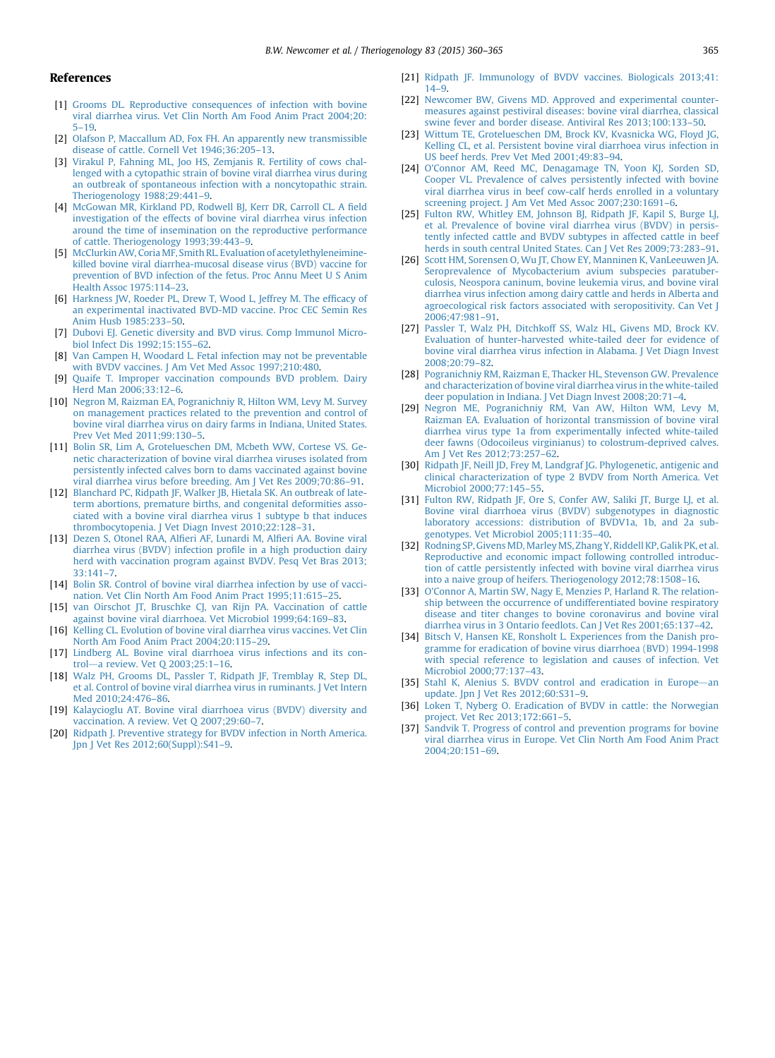#### <span id="page-5-0"></span>References

- [1] [Grooms DL. Reproductive consequences of infection with bovine](http://refhub.elsevier.com/S0093-691X(14)00520-2/sref1) [viral diarrhea virus. Vet Clin North Am Food Anim Pract 2004;20:](http://refhub.elsevier.com/S0093-691X(14)00520-2/sref1) 5–[19.](http://refhub.elsevier.com/S0093-691X(14)00520-2/sref1)
- [2] [Olafson P, Maccallum AD, Fox FH. An apparently new transmissible](http://refhub.elsevier.com/S0093-691X(14)00520-2/sref2) [disease of cattle. Cornell Vet 1946;36:205](http://refhub.elsevier.com/S0093-691X(14)00520-2/sref2)–13.
- [3] [Virakul P, Fahning ML, Joo HS, Zemjanis R. Fertility of cows chal](http://refhub.elsevier.com/S0093-691X(14)00520-2/sref3)[lenged with a cytopathic strain of bovine viral diarrhea virus during](http://refhub.elsevier.com/S0093-691X(14)00520-2/sref3) [an outbreak of spontaneous infection with a noncytopathic strain.](http://refhub.elsevier.com/S0093-691X(14)00520-2/sref3) [Theriogenology 1988;29:441](http://refhub.elsevier.com/S0093-691X(14)00520-2/sref3)–9.
- [4] [McGowan MR, Kirkland PD, Rodwell BJ, Kerr DR, Carroll CL. A](http://refhub.elsevier.com/S0093-691X(14)00520-2/sref4) field [investigation of the effects of bovine viral diarrhea virus infection](http://refhub.elsevier.com/S0093-691X(14)00520-2/sref4) [around the time of insemination on the reproductive performance](http://refhub.elsevier.com/S0093-691X(14)00520-2/sref4) [of cattle. Theriogenology 1993;39:443](http://refhub.elsevier.com/S0093-691X(14)00520-2/sref4)–9.
- [5] [McClurkin AW, CoriaMF, Smith RL. Evaluation of acetylethyleneimine](http://refhub.elsevier.com/S0093-691X(14)00520-2/sref5)[killed bovine viral diarrhea-mucosal disease virus \(BVD\) vaccine for](http://refhub.elsevier.com/S0093-691X(14)00520-2/sref5) [prevention of BVD infection of the fetus. Proc Annu Meet U S Anim](http://refhub.elsevier.com/S0093-691X(14)00520-2/sref5) [Health Assoc 1975:114](http://refhub.elsevier.com/S0093-691X(14)00520-2/sref5)–23.
- [6] [Harkness JW, Roeder PL, Drew T, Wood L, Jeffrey M. The ef](http://refhub.elsevier.com/S0093-691X(14)00520-2/sref6)ficacy of [an experimental inactivated BVD-MD vaccine. Proc CEC Semin Res](http://refhub.elsevier.com/S0093-691X(14)00520-2/sref6) [Anim Husb 1985:233](http://refhub.elsevier.com/S0093-691X(14)00520-2/sref6)–50.
- [7] [Dubovi EJ. Genetic diversity and BVD virus. Comp Immunol Micro](http://refhub.elsevier.com/S0093-691X(14)00520-2/sref7)[biol Infect Dis 1992;15:155](http://refhub.elsevier.com/S0093-691X(14)00520-2/sref7)–62.
- [8] [Van Campen H, Woodard L. Fetal infection may not be preventable](http://refhub.elsevier.com/S0093-691X(14)00520-2/sref8) [with BVDV vaccines. J Am Vet Med Assoc 1997;210:480](http://refhub.elsevier.com/S0093-691X(14)00520-2/sref8).
- [9] [Quaife T. Improper vaccination compounds BVD problem. Dairy](http://refhub.elsevier.com/S0093-691X(14)00520-2/sref9) [Herd Man 2006;33:12](http://refhub.elsevier.com/S0093-691X(14)00520-2/sref9)–6.
- [10] [Negron M, Raizman EA, Pogranichniy R, Hilton WM, Levy M. Survey](http://refhub.elsevier.com/S0093-691X(14)00520-2/sref10) [on management practices related to the prevention and control of](http://refhub.elsevier.com/S0093-691X(14)00520-2/sref10) [bovine viral diarrhea virus on dairy farms in Indiana, United States.](http://refhub.elsevier.com/S0093-691X(14)00520-2/sref10) [Prev Vet Med 2011;99:130](http://refhub.elsevier.com/S0093-691X(14)00520-2/sref10)–5.
- [11] [Bolin SR, Lim A, Grotelueschen DM, Mcbeth WW, Cortese VS. Ge](http://refhub.elsevier.com/S0093-691X(14)00520-2/sref11)[netic characterization of bovine viral diarrhea viruses isolated from](http://refhub.elsevier.com/S0093-691X(14)00520-2/sref11) [persistently infected calves born to dams vaccinated against bovine](http://refhub.elsevier.com/S0093-691X(14)00520-2/sref11) [viral diarrhea virus before breeding. Am J Vet Res 2009;70:86](http://refhub.elsevier.com/S0093-691X(14)00520-2/sref11)–91.
- [12] [Blanchard PC, Ridpath JF, Walker JB, Hietala SK. An outbreak of late](http://refhub.elsevier.com/S0093-691X(14)00520-2/sref12)[term abortions, premature births, and congenital deformities asso](http://refhub.elsevier.com/S0093-691X(14)00520-2/sref12)[ciated with a bovine viral diarrhea virus 1 subtype b that induces](http://refhub.elsevier.com/S0093-691X(14)00520-2/sref12) [thrombocytopenia. J Vet Diagn Invest 2010;22:128](http://refhub.elsevier.com/S0093-691X(14)00520-2/sref12)–31.
- [13] [Dezen S, Otonel RAA, Al](http://refhub.elsevier.com/S0093-691X(14)00520-2/sref13)fieri AF, Lunardi M, Alfieri AA. Bovine viral [diarrhea virus \(BVDV\) infection pro](http://refhub.elsevier.com/S0093-691X(14)00520-2/sref13)file in a high production dairy [herd with vaccination program against BVDV. Pesq Vet Bras 2013;](http://refhub.elsevier.com/S0093-691X(14)00520-2/sref13) [33:141](http://refhub.elsevier.com/S0093-691X(14)00520-2/sref13)–7.
- [14] [Bolin SR. Control of bovine viral diarrhea infection by use of vacci](http://refhub.elsevier.com/S0093-691X(14)00520-2/sref14)[nation. Vet Clin North Am Food Anim Pract 1995;11:615](http://refhub.elsevier.com/S0093-691X(14)00520-2/sref14)–25.
- [15] [van Oirschot JT, Bruschke CJ, van Rijn PA. Vaccination of cattle](http://refhub.elsevier.com/S0093-691X(14)00520-2/sref15) [against bovine viral diarrhoea. Vet Microbiol 1999;64:169](http://refhub.elsevier.com/S0093-691X(14)00520-2/sref15)–83.
- [16] [Kelling CL. Evolution of bovine viral diarrhea virus vaccines. Vet Clin](http://refhub.elsevier.com/S0093-691X(14)00520-2/sref16) [North Am Food Anim Pract 2004;20:115](http://refhub.elsevier.com/S0093-691X(14)00520-2/sref16)–29.
- [17] [Lindberg AL. Bovine viral diarrhoea virus infections and its con](http://refhub.elsevier.com/S0093-691X(14)00520-2/sref17)[trol](http://refhub.elsevier.com/S0093-691X(14)00520-2/sref17)-[a review. Vet Q 2003;25:1](http://refhub.elsevier.com/S0093-691X(14)00520-2/sref17)-16.
- [18] [Walz PH, Grooms DL, Passler T, Ridpath JF, Tremblay R, Step DL,](http://refhub.elsevier.com/S0093-691X(14)00520-2/sref18) [et al. Control of bovine viral diarrhea virus in ruminants. J Vet Intern](http://refhub.elsevier.com/S0093-691X(14)00520-2/sref18) [Med 2010;24:476](http://refhub.elsevier.com/S0093-691X(14)00520-2/sref18)–86.
- [19] [Kalaycioglu AT. Bovine viral diarrhoea virus \(BVDV\) diversity and](http://refhub.elsevier.com/S0093-691X(14)00520-2/sref19) [vaccination. A review. Vet Q 2007;29:60](http://refhub.elsevier.com/S0093-691X(14)00520-2/sref19)–7.
- [20] [Ridpath J. Preventive strategy for BVDV infection in North America.](http://refhub.elsevier.com/S0093-691X(14)00520-2/sref20) [Jpn J Vet Res 2012;60\(Suppl\):S41](http://refhub.elsevier.com/S0093-691X(14)00520-2/sref20)–9.
- [21] [Ridpath JF. Immunology of BVDV vaccines. Biologicals 2013;41:](http://refhub.elsevier.com/S0093-691X(14)00520-2/sref21)  $14-9.$  $14-9.$
- [22] [Newcomer BW, Givens MD. Approved and experimental counter](http://refhub.elsevier.com/S0093-691X(14)00520-2/sref22)[measures against pestiviral diseases: bovine viral diarrhea, classical](http://refhub.elsevier.com/S0093-691X(14)00520-2/sref22) [swine fever and border disease. Antiviral Res 2013;100:133](http://refhub.elsevier.com/S0093-691X(14)00520-2/sref22)–50.
- [23] [Wittum TE, Grotelueschen DM, Brock KV, Kvasnicka WG, Floyd JG,](http://refhub.elsevier.com/S0093-691X(14)00520-2/sref23) [Kelling CL, et al. Persistent bovine viral diarrhoea virus infection in](http://refhub.elsevier.com/S0093-691X(14)00520-2/sref23) [US beef herds. Prev Vet Med 2001;49:83](http://refhub.elsevier.com/S0093-691X(14)00520-2/sref23)–94.
- [24] O'[Connor AM, Reed MC, Denagamage TN, Yoon KJ, Sorden SD,](http://refhub.elsevier.com/S0093-691X(14)00520-2/sref24) [Cooper VL. Prevalence of calves persistently infected with bovine](http://refhub.elsevier.com/S0093-691X(14)00520-2/sref24) [viral diarrhea virus in beef cow-calf herds enrolled in a voluntary](http://refhub.elsevier.com/S0093-691X(14)00520-2/sref24) [screening project. J Am Vet Med Assoc 2007;230:1691](http://refhub.elsevier.com/S0093-691X(14)00520-2/sref24)–6.
- [25] [Fulton RW, Whitley EM, Johnson BJ, Ridpath JF, Kapil S, Burge LJ,](http://refhub.elsevier.com/S0093-691X(14)00520-2/sref25) [et al. Prevalence of bovine viral diarrhea virus \(BVDV\) in persis](http://refhub.elsevier.com/S0093-691X(14)00520-2/sref25)[tently infected cattle and BVDV subtypes in affected cattle in beef](http://refhub.elsevier.com/S0093-691X(14)00520-2/sref25) [herds in south central United States. Can J Vet Res 2009;73:283](http://refhub.elsevier.com/S0093-691X(14)00520-2/sref25)–91.
- [26] [Scott HM, Sorensen O, Wu JT, Chow EY, Manninen K, VanLeeuwen JA.](http://refhub.elsevier.com/S0093-691X(14)00520-2/sref26) [Seroprevalence of Mycobacterium avium subspecies paratuber](http://refhub.elsevier.com/S0093-691X(14)00520-2/sref26)[culosis, Neospora caninum, bovine leukemia virus, and bovine viral](http://refhub.elsevier.com/S0093-691X(14)00520-2/sref26) [diarrhea virus infection among dairy cattle and herds in Alberta and](http://refhub.elsevier.com/S0093-691X(14)00520-2/sref26) [agroecological risk factors associated with seropositivity. Can Vet J](http://refhub.elsevier.com/S0093-691X(14)00520-2/sref26) [2006;47:981](http://refhub.elsevier.com/S0093-691X(14)00520-2/sref26)–91.
- [27] [Passler T, Walz PH, Ditchkoff SS, Walz HL, Givens MD, Brock KV.](http://refhub.elsevier.com/S0093-691X(14)00520-2/sref27) [Evaluation of hunter-harvested white-tailed deer for evidence of](http://refhub.elsevier.com/S0093-691X(14)00520-2/sref27) [bovine viral diarrhea virus infection in Alabama. J Vet Diagn Invest](http://refhub.elsevier.com/S0093-691X(14)00520-2/sref27) [2008;20:79](http://refhub.elsevier.com/S0093-691X(14)00520-2/sref27)–82.
- [28] [Pogranichniy RM, Raizman E, Thacker HL, Stevenson GW. Prevalence](http://refhub.elsevier.com/S0093-691X(14)00520-2/sref28) [and characterization of bovine viral diarrhea virus in the white-tailed](http://refhub.elsevier.com/S0093-691X(14)00520-2/sref28) [deer population in Indiana. J Vet Diagn Invest 2008;20:71](http://refhub.elsevier.com/S0093-691X(14)00520-2/sref28)–4.
- [29] [Negron ME, Pogranichniy RM, Van AW, Hilton WM, Levy M,](http://refhub.elsevier.com/S0093-691X(14)00520-2/sref29) [Raizman EA. Evaluation of horizontal transmission of bovine viral](http://refhub.elsevier.com/S0093-691X(14)00520-2/sref29) [diarrhea virus type 1a from experimentally infected white-tailed](http://refhub.elsevier.com/S0093-691X(14)00520-2/sref29) [deer fawns \(Odocoileus virginianus\) to colostrum-deprived calves.](http://refhub.elsevier.com/S0093-691X(14)00520-2/sref29) [Am J Vet Res 2012;73:257](http://refhub.elsevier.com/S0093-691X(14)00520-2/sref29)–62.
- [30] [Ridpath JF, Neill JD, Frey M, Landgraf JG. Phylogenetic, antigenic and](http://refhub.elsevier.com/S0093-691X(14)00520-2/sref30) [clinical characterization of type 2 BVDV from North America. Vet](http://refhub.elsevier.com/S0093-691X(14)00520-2/sref30) [Microbiol 2000;77:145](http://refhub.elsevier.com/S0093-691X(14)00520-2/sref30)–55.
- [31] [Fulton RW, Ridpath JF, Ore S, Confer AW, Saliki JT, Burge LJ, et al.](http://refhub.elsevier.com/S0093-691X(14)00520-2/sref31) [Bovine viral diarrhoea virus \(BVDV\) subgenotypes in diagnostic](http://refhub.elsevier.com/S0093-691X(14)00520-2/sref31) [laboratory accessions: distribution of BVDV1a, 1b, and 2a sub](http://refhub.elsevier.com/S0093-691X(14)00520-2/sref31)[genotypes. Vet Microbiol 2005;111:35](http://refhub.elsevier.com/S0093-691X(14)00520-2/sref31)–40.
- [32] Rodning SP, Givens MD, Marley MS, Zhang Y, Riddell KP, Galik PK, et al. [Reproductive and economic impact following controlled introduc](http://refhub.elsevier.com/S0093-691X(14)00520-2/sref32)[tion of cattle persistently infected with bovine viral diarrhea virus](http://refhub.elsevier.com/S0093-691X(14)00520-2/sref32) [into a naive group of heifers. Theriogenology 2012;78:1508](http://refhub.elsevier.com/S0093-691X(14)00520-2/sref32)–16.
- [33] O'[Connor A, Martin SW, Nagy E, Menzies P, Harland R. The relation](http://refhub.elsevier.com/S0093-691X(14)00520-2/sref33)[ship between the occurrence of undifferentiated bovine respiratory](http://refhub.elsevier.com/S0093-691X(14)00520-2/sref33) [disease and titer changes to bovine coronavirus and bovine viral](http://refhub.elsevier.com/S0093-691X(14)00520-2/sref33) [diarrhea virus in 3 Ontario feedlots. Can J Vet Res 2001;65:137](http://refhub.elsevier.com/S0093-691X(14)00520-2/sref33)–42.
- [34] [Bitsch V, Hansen KE, Ronsholt L. Experiences from the Danish pro](http://refhub.elsevier.com/S0093-691X(14)00520-2/sref34)[gramme for eradication of bovine virus diarrhoea \(BVD\) 1994-1998](http://refhub.elsevier.com/S0093-691X(14)00520-2/sref34) [with special reference to legislation and causes of infection. Vet](http://refhub.elsevier.com/S0093-691X(14)00520-2/sref34) [Microbiol 2000;77:137](http://refhub.elsevier.com/S0093-691X(14)00520-2/sref34)–43.
- [35] [Stahl K, Alenius S. BVDV control and eradication in Europe](http://refhub.elsevier.com/S0093-691X(14)00520-2/sref35)-[an](http://refhub.elsevier.com/S0093-691X(14)00520-2/sref35) [update. Jpn J Vet Res 2012;60:S31](http://refhub.elsevier.com/S0093-691X(14)00520-2/sref35)–9.
- [36] [Loken T, Nyberg O. Eradication of BVDV in cattle: the Norwegian](http://refhub.elsevier.com/S0093-691X(14)00520-2/sref36) [project. Vet Rec 2013;172:661](http://refhub.elsevier.com/S0093-691X(14)00520-2/sref36)–5.
- [37] [Sandvik T. Progress of control and prevention programs for bovine](http://refhub.elsevier.com/S0093-691X(14)00520-2/sref37) [viral diarrhea virus in Europe. Vet Clin North Am Food Anim Pract](http://refhub.elsevier.com/S0093-691X(14)00520-2/sref37) [2004;20:151](http://refhub.elsevier.com/S0093-691X(14)00520-2/sref37)–69.